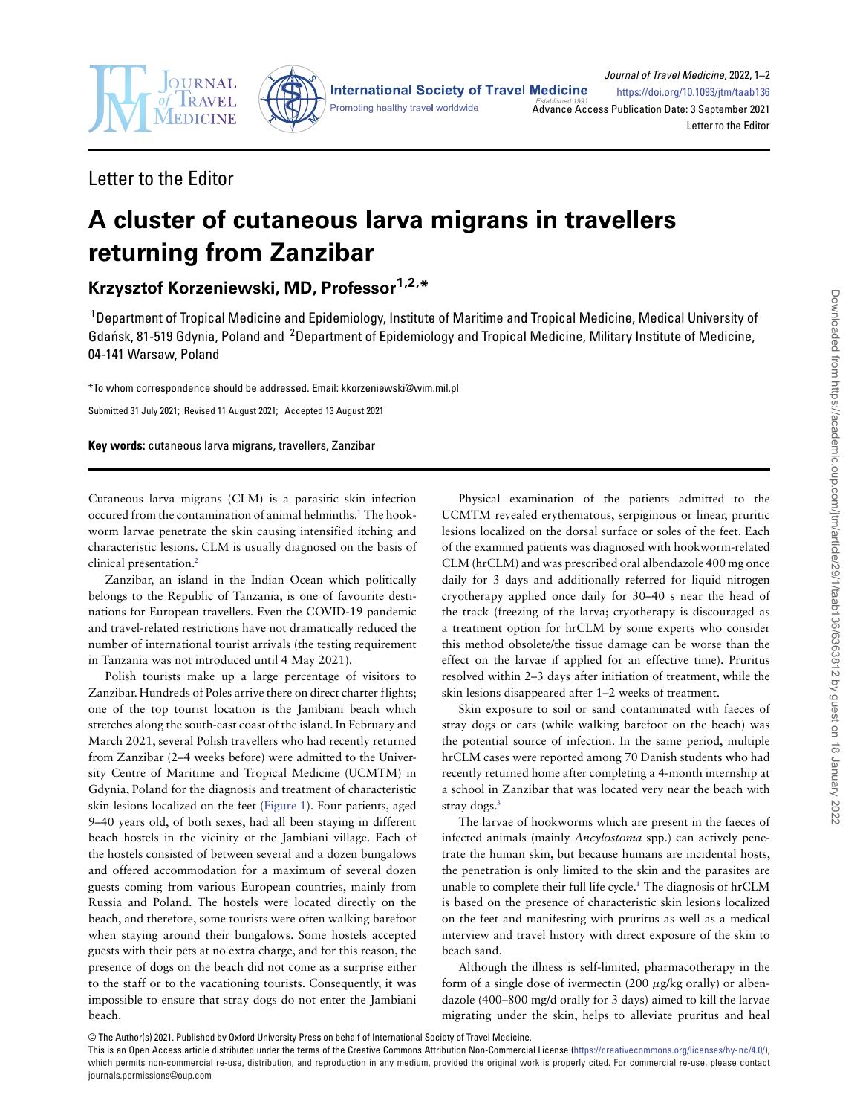



**International Society of Travel Medicine** 

Promoting healthy travel worldwide

Journal of Travel Medicine, 2022, 1–2 <https://doi.org/10.1093/jtm/taab136> [Advance Acc](http://www.oxfordjournals.org)ess Publication Date: 3 September 2021 Letter to the Editor

### Letter to the Editor

# **A cluster of cutaneous larva migrans in travellers returning from Zanzibar**

## **Krzysztof Korzeniewski, MD, Professor1,2,\***

<sup>1</sup>Department of Tropical Medicine and Epidemiology, Institute of Maritime and Tropical Medicine, Medical University of Gdańsk, 81-519 Gdynia, Poland and <sup>2</sup>Department of Epidemiology and Tropical Medicine, Military Institute of Medicine, 04-141 Warsaw, Poland

\*To whom correspondence should be addressed. Email: kkorzeniewski@wim.mil.pl

Submitted 31 July 2021; Revised 11 August 2021; Accepted 13 August 2021

**Key words:** cutaneous larva migrans, travellers, Zanzibar

Cutaneous larva migrans (CLM) is a parasitic skin infection occured from the contamination of animal helminths.**[1](#page-1-0)** The hookworm larvae penetrate the skin causing intensified itching and characteristic lesions. CLM is usually diagnosed on the basis of clinical presentation.**[2](#page-1-1)**

Zanzibar, an island in the Indian Ocean which politically belongs to the Republic of Tanzania, is one of favourite destinations for European travellers. Even the COVID-19 pandemic and travel-related restrictions have not dramatically reduced the number of international tourist arrivals (the testing requirement in Tanzania was not introduced until 4 May 2021).

Polish tourists make up a large percentage of visitors to Zanzibar. Hundreds of Poles arrive there on direct charter flights; one of the top tourist location is the Jambiani beach which stretches along the south-east coast of the island. In February and March 2021, several Polish travellers who had recently returned from Zanzibar (2–4 weeks before) were admitted to the University Centre of Maritime and Tropical Medicine (UCMTM) in Gdynia, Poland for the diagnosis and treatment of characteristic skin lesions localized on the feet [\(Figure 1\)](#page-1-2). Four patients, aged 9–40 years old, of both sexes, had all been staying in different beach hostels in the vicinity of the Jambiani village. Each of the hostels consisted of between several and a dozen bungalows and offered accommodation for a maximum of several dozen guests coming from various European countries, mainly from Russia and Poland. The hostels were located directly on the beach, and therefore, some tourists were often walking barefoot when staying around their bungalows. Some hostels accepted guests with their pets at no extra charge, and for this reason, the presence of dogs on the beach did not come as a surprise either to the staff or to the vacationing tourists. Consequently, it was impossible to ensure that stray dogs do not enter the Jambiani beach.

Physical examination of the patients admitted to the UCMTM revealed erythematous, serpiginous or linear, pruritic lesions localized on the dorsal surface or soles of the feet. Each of the examined patients was diagnosed with hookworm-related CLM (hrCLM) and was prescribed oral albendazole 400 mg once daily for 3 days and additionally referred for liquid nitrogen cryotherapy applied once daily for 30–40 s near the head of the track (freezing of the larva; cryotherapy is discouraged as a treatment option for hrCLM by some experts who consider this method obsolete/the tissue damage can be worse than the effect on the larvae if applied for an effective time). Pruritus resolved within 2–3 days after initiation of treatment, while the skin lesions disappeared after 1–2 weeks of treatment.

Skin exposure to soil or sand contaminated with faeces of stray dogs or cats (while walking barefoot on the beach) was the potential source of infection. In the same period, multiple hrCLM cases were reported among 70 Danish students who had recently returned home after completing a 4-month internship at a school in Zanzibar that was located very near the beach with stray dogs.**[3](#page-1-3)**

The larvae of hookworms which are present in the faeces of infected animals (mainly *Ancylostoma* spp.) can actively penetrate the human skin, but because humans are incidental hosts, the penetration is only limited to the skin and the parasites are unable to complete their full life cycle.**[1](#page-1-0)** The diagnosis of hrCLM is based on the presence of characteristic skin lesions localized on the feet and manifesting with pruritus as well as a medical interview and travel history with direct exposure of the skin to beach sand.

Although the illness is self-limited, pharmacotherapy in the form of a single dose of ivermectin (200 *μ*g/kg orally) or albendazole (400–800 mg/d orally for 3 days) aimed to kill the larvae migrating under the skin, helps to alleviate pruritus and heal

© The Author(s) 2021. Published by Oxford University Press on behalf of International Society of Travel Medicine.

This is an Open Access article distributed under the terms of the Creative Commons Attribution Non-Commercial License [\(https://creativecommons.org/licenses/by-nc/4.0/\)](https://creativecommons.org/licenses/by-nc/4.0/), which permits non-commercial re-use, distribution, and reproduction in any medium, provided the original work is properly cited. For commercial re-use, please contact journals.permissions@oup.com